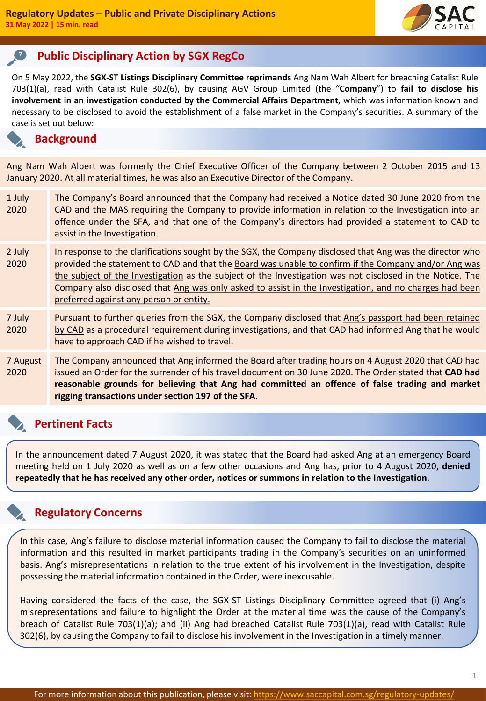

# **Public Disciplinary Action by SGX RegCo**

On 5 May 2022, the **SGX-ST Listings Disciplinary Committee reprimands** Ang Nam Wah Albert for breaching Catalist Rule 703(1)(a), read with Catalist Rule 302(6), by causing AGV Group Limited (the "**Company**") to **fail to disclose his involvement in an investigation conducted by the Commercial Affairs Department**, which was information known and necessary to be disclosed to avoid the establishment of a false market in the Company's securities. A summary of the case is set out below:

# **Background**

Ang Nam Wah Albert was formerly the Chief Executive Officer of the Company between 2 October 2015 and 13 January 2020. At all material times, he was also an Executive Director of the Company.

- 1 July 2020 The Company's Board announced that the Company had received a Notice dated 30 June 2020 from the CAD and the MAS requiring the Company to provide information in relation to the Investigation into an offence under the SFA, and that one of the Company's directors had provided a statement to CAD to assist in the Investigation.
- 2 July 2020 In response to the clarifications sought by the SGX, the Company disclosed that Ang was the director who provided the statement to CAD and that the Board was unable to confirm if the Company and/or Ang was the subject of the Investigation as the subject of the Investigation was not disclosed in the Notice. The Company also disclosed that Ang was only asked to assist in the Investigation, and no charges had been preferred against any person or entity.
- 7 July 2020 Pursuant to further queries from the SGX, the Company disclosed that Ang's passport had been retained by CAD as a procedural requirement during investigations, and that CAD had informed Ang that he would have to approach CAD if he wished to travel.
- 7 August 2020 The Company announced that Ang informed the Board after trading hours on 4 August 2020 that CAD had issued an Order for the surrender of his travel document on 30 June 2020. The Order stated that **CAD had reasonable grounds for believing that Ang had committed an offence of false trading and market rigging transactions under section 197 of the SFA**.

# **Pertinent Facts**

In the announcement dated 7 August 2020, it was stated that the Board had asked Ang at an emergency Board meeting held on 1 July 2020 as well as on a few other occasions and Ang has, prior to 4 August 2020, **denied repeatedly that he has received any other order, notices or summons in relation to the Investigation**.

# **Regulatory Concerns**

In this case, Ang's failure to disclose material information caused the Company to fail to disclose the material information and this resulted in market participants trading in the Company's securities on an uninformed basis. Ang's misrepresentations in relation to the true extent of his involvement in the Investigation, despite possessing the material information contained in the Order, were inexcusable.

Having considered the facts of the case, the SGX-ST Listings Disciplinary Committee agreed that (i) Ang's misrepresentations and failure to highlight the Order at the material time was the cause of the Company's breach of Catalist Rule 703(1)(a); and (ii) Ang had breached Catalist Rule 703(1)(a), read with Catalist Rule 302(6), by causing the Company to fail to disclose his involvement in the Investigation in a timely manner.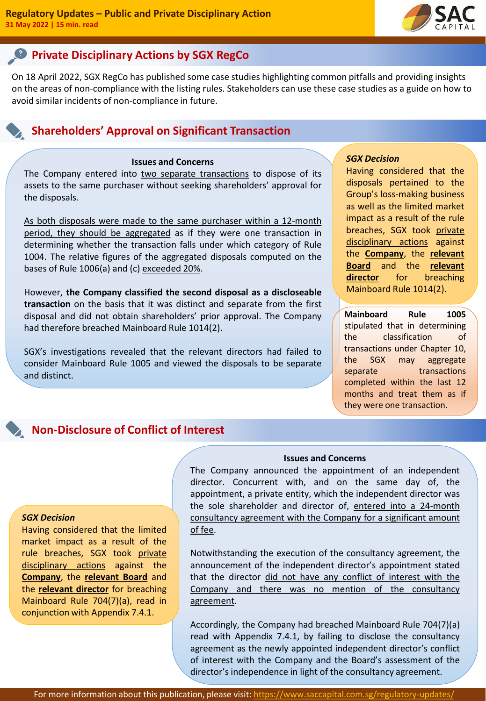

# **Private Disciplinary Actions by SGX RegCo**

On 18 April 2022, SGX RegCo has published some case studies highlighting common pitfalls and providing insights on the areas of non-compliance with the listing rules. Stakeholders can use these case studies as a guide on how to avoid similar incidents of non-compliance in future.

# **Shareholders' Approval on Significant Transaction**

## **Issues and Concerns**

The Company entered into two separate transactions to dispose of its assets to the same purchaser without seeking shareholders' approval for the disposals.

As both disposals were made to the same purchaser within a 12-month period, they should be aggregated as if they were one transaction in determining whether the transaction falls under which category of Rule 1004. The relative figures of the aggregated disposals computed on the bases of Rule 1006(a) and (c) exceeded 20%.

However, **the Company classified the second disposal as a discloseable transaction** on the basis that it was distinct and separate from the first disposal and did not obtain shareholders' prior approval. The Company had therefore breached Mainboard Rule 1014(2).

SGX's investigations revealed that the relevant directors had failed to consider Mainboard Rule 1005 and viewed the disposals to be separate and distinct.

## *SGX Decision*

Having considered that the disposals pertained to the Group's loss-making business as well as the limited market impact as a result of the rule breaches, SGX took private disciplinary actions against the **Company**, the **relevant Board** and the **relevant director** for breaching Mainboard Rule 1014(2).

**Mainboard Rule 1005** stipulated that in determining the classification of transactions under Chapter 10, the SGX may aggregate separate transactions completed within the last 12 months and treat them as if they were one transaction.

# **Non-Disclosure of Conflict of Interest**

#### *SGX Decision*

Having considered that the limited market impact as a result of the rule breaches, SGX took private disciplinary actions against the **Company**, the **relevant Board** and the **relevant director** for breaching Mainboard Rule 704(7)(a), read in conjunction with Appendix 7.4.1.

## **Issues and Concerns**

The Company announced the appointment of an independent director. Concurrent with, and on the same day of, the appointment, a private entity, which the independent director was the sole shareholder and director of, entered into a 24-month consultancy agreement with the Company for a significant amount of fee.

Notwithstanding the execution of the consultancy agreement, the announcement of the independent director's appointment stated that the director did not have any conflict of interest with the Company and there was no mention of the consultancy agreement.

Accordingly, the Company had breached Mainboard Rule 704(7)(a) read with Appendix 7.4.1, by failing to disclose the consultancy agreement as the newly appointed independent director's conflict of interest with the Company and the Board's assessment of the director's independence in light of the consultancy agreement.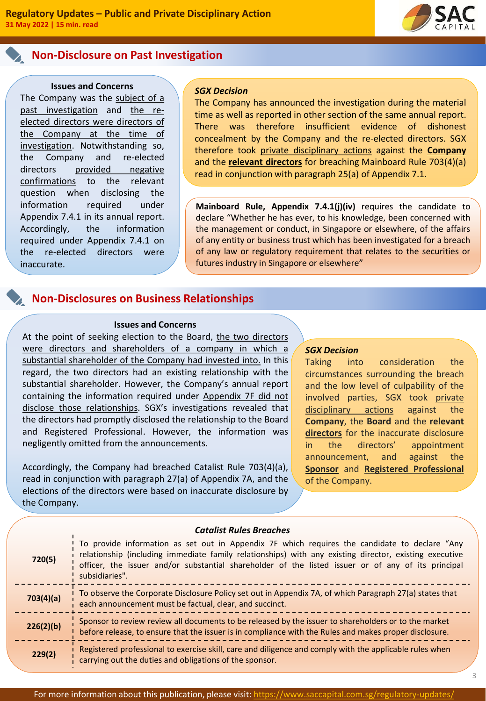# **Non-Disclosure on Past Investigation**

#### **Issues and Concerns**

The Company was the subject of a past investigation and the reelected directors were directors of the Company at the time of investigation. Notwithstanding so, the Company and re-elected directors provided negative confirmations to the relevant question when disclosing the information required under Appendix 7.4.1 in its annual report. Accordingly, the information required under Appendix 7.4.1 on the re-elected directors were inaccurate.

#### *SGX Decision*

The Company has announced the investigation during the material time as well as reported in other section of the same annual report. There was therefore insufficient evidence of dishonest concealment by the Company and the re-elected directors. SGX therefore took private disciplinary actions against the **Company** and the **relevant directors** for breaching Mainboard Rule 703(4)(a) read in conjunction with paragraph 25(a) of Appendix 7.1.

**Mainboard Rule, Appendix 7.4.1(j)(iv)** requires the candidate to declare "Whether he has ever, to his knowledge, been concerned with the management or conduct, in Singapore or elsewhere, of the affairs of any entity or business trust which has been investigated for a breach of any law or regulatory requirement that relates to the securities or futures industry in Singapore or elsewhere"

# **Non-Disclosures on Business Relationships**

#### **Issues and Concerns**

At the point of seeking election to the Board, the two directors were directors and shareholders of a company in which a substantial shareholder of the Company had invested into. In this regard, the two directors had an existing relationship with the substantial shareholder. However, the Company's annual report containing the information required under Appendix 7F did not disclose those relationships. SGX's investigations revealed that the directors had promptly disclosed the relationship to the Board and Registered Professional. However, the information was negligently omitted from the announcements.

Accordingly, the Company had breached Catalist Rule 703(4)(a), read in conjunction with paragraph 27(a) of Appendix 7A, and the elections of the directors were based on inaccurate disclosure by the Company.

#### *SGX Decision*

Taking into consideration the circumstances surrounding the breach and the low level of culpability of the involved parties, SGX took private disciplinary actions against the **Company**, the **Board** and the **relevant directors** for the inaccurate disclosure in the directors' appointment announcement, and against the **Sponsor** and **Registered Professional** of the Company.

3

| 720(5)    | To provide information as set out in Appendix 7F which requires the candidate to declare "Any<br>relationship (including immediate family relationships) with any existing director, existing executive<br>officer, the issuer and/or substantial shareholder of the listed issuer or of any of its principal<br>subsidiaries". |
|-----------|---------------------------------------------------------------------------------------------------------------------------------------------------------------------------------------------------------------------------------------------------------------------------------------------------------------------------------|
| 703(4)(a) | To observe the Corporate Disclosure Policy set out in Appendix 7A, of which Paragraph 27(a) states that<br>each announcement must be factual, clear, and succinct.                                                                                                                                                              |
| 226(2)(b) | Sponsor to review review all documents to be released by the issuer to shareholders or to the market<br>before release, to ensure that the issuer is in compliance with the Rules and makes proper disclosure.                                                                                                                  |
| 229(2)    | Registered professional to exercise skill, care and diligence and comply with the applicable rules when<br>carrying out the duties and obligations of the sponsor.                                                                                                                                                              |

### *Catalist Rules Breaches*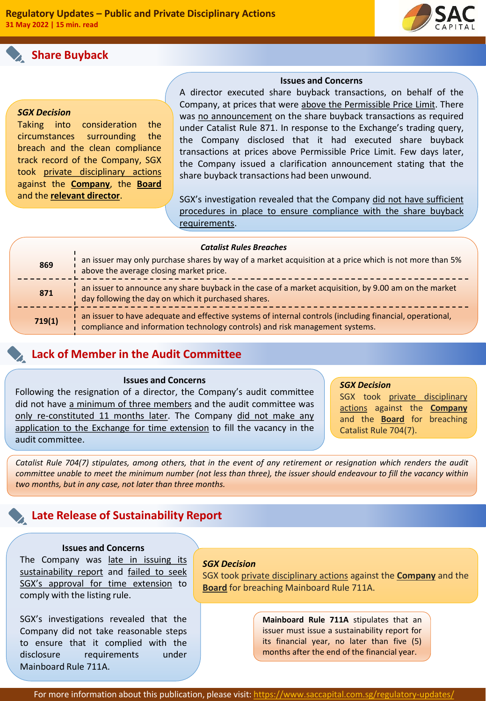# **Share Buyback**



### *SGX Decision*

Taking into consideration the circumstances surrounding the breach and the clean compliance track record of the Company, SGX took private disciplinary actions against the **Company**, the **Board** and the **relevant director**.

## **Issues and Concerns**

A director executed share buyback transactions, on behalf of the Company, at prices that were above the Permissible Price Limit. There was no announcement on the share buyback transactions as required under Catalist Rule 871. In response to the Exchange's trading query, the Company disclosed that it had executed share buyback transactions at prices above Permissible Price Limit. Few days later, the Company issued a clarification announcement stating that the share buyback transactions had been unwound.

SGX's investigation revealed that the Company did not have sufficient procedures in place to ensure compliance with the share buyback requirements.

| <b>Catalist Rules Breaches</b> |                                                                                                                                                                                          |
|--------------------------------|------------------------------------------------------------------------------------------------------------------------------------------------------------------------------------------|
| 869                            | an issuer may only purchase shares by way of a market acquisition at a price which is not more than 5%<br>above the average closing market price.                                        |
| 871                            | an issuer to announce any share buyback in the case of a market acquisition, by 9.00 am on the market<br>day following the day on which it purchased shares.                             |
| 719(1)                         | an issuer to have adequate and effective systems of internal controls (including financial, operational,<br>compliance and information technology controls) and risk management systems. |

# **Lack of Member in the Audit Committee**

## **Issues and Concerns**

Following the resignation of a director, the Company's audit committee did not have a minimum of three members and the audit committee was only re-constituted 11 months later. The Company did not make any application to the Exchange for time extension to fill the vacancy in the audit committee.

## *SGX Decision*

SGX took private disciplinary actions against the **Company** and the **Board** for breaching Catalist Rule 704(7).

Catalist Rule 704(7) stipulates, among others, that in the event of any retirement or resignation which renders the audit committee unable to meet the minimum number (not less than three), the issuer should endeavour to fill the vacancy within *two months, but in any case, not later than three months.*

# **Late Release of Sustainability Report**

## **Issues and Concerns**

The Company was late in issuing its sustainability report and failed to seek SGX's approval for time extension to comply with the listing rule.

SGX's investigations revealed that the Company did not take reasonable steps to ensure that it complied with the disclosure requirements under Mainboard Rule 711A.

### *SGX Decision*

SGX took private disciplinary actions against the **Company** and the **Board** for breaching Mainboard Rule 711A.

> **Mainboard Rule 711A** stipulates that an issuer must issue a sustainability report for its financial year, no later than five (5) months after the end of the financial year.

For more information about this publication, please visit: https://www.saccapital.com